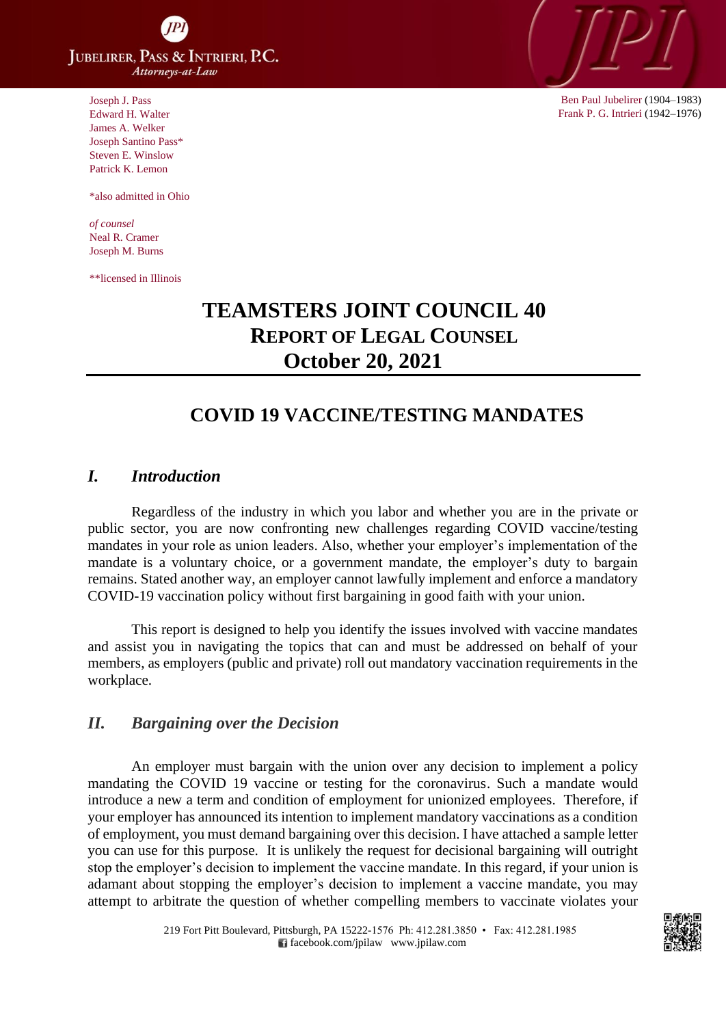**JUBELIRER, PASS & INTRIERI, P.C.** Attorneys-at-Law

Joseph J. Pass Edward H. Walter James A. Welker Joseph Santino Pass\* Steven E. Winslow Patrick K. Lemon

\*also admitted in Ohio

*of counsel* Neal R. Cramer Joseph M. Burns

\*\*licensed in Illinois



Ben Paul Jubelirer (1904–1983) Frank P. G. Intrieri (1942–1976)

# **TEAMSTERS JOINT COUNCIL 40 REPORT OF LEGAL COUNSEL October 20, 2021**

# **COVID 19 VACCINE/TESTING MANDATES**

### *I. Introduction*

Regardless of the industry in which you labor and whether you are in the private or public sector, you are now confronting new challenges regarding COVID vaccine/testing mandates in your role as union leaders. Also, whether your employer's implementation of the mandate is a voluntary choice, or a government mandate, the employer's duty to bargain remains. Stated another way, an employer cannot lawfully implement and enforce a mandatory COVID-19 vaccination policy without first bargaining in good faith with your union.

This report is designed to help you identify the issues involved with vaccine mandates and assist you in navigating the topics that can and must be addressed on behalf of your members, as employers (public and private) roll out mandatory vaccination requirements in the workplace.

#### *II. Bargaining over the Decision*

An employer must bargain with the union over any decision to implement a policy mandating the COVID 19 vaccine or testing for the coronavirus. Such a mandate would introduce a new a term and condition of employment for unionized employees. Therefore, if your employer has announced its intention to implement mandatory vaccinations as a condition of employment, you must demand bargaining over this decision. I have attached a sample letter you can use for this purpose. It is unlikely the request for decisional bargaining will outright stop the employer's decision to implement the vaccine mandate. In this regard, if your union is adamant about stopping the employer's decision to implement a vaccine mandate, you may attempt to arbitrate the question of whether compelling members to vaccinate violates your

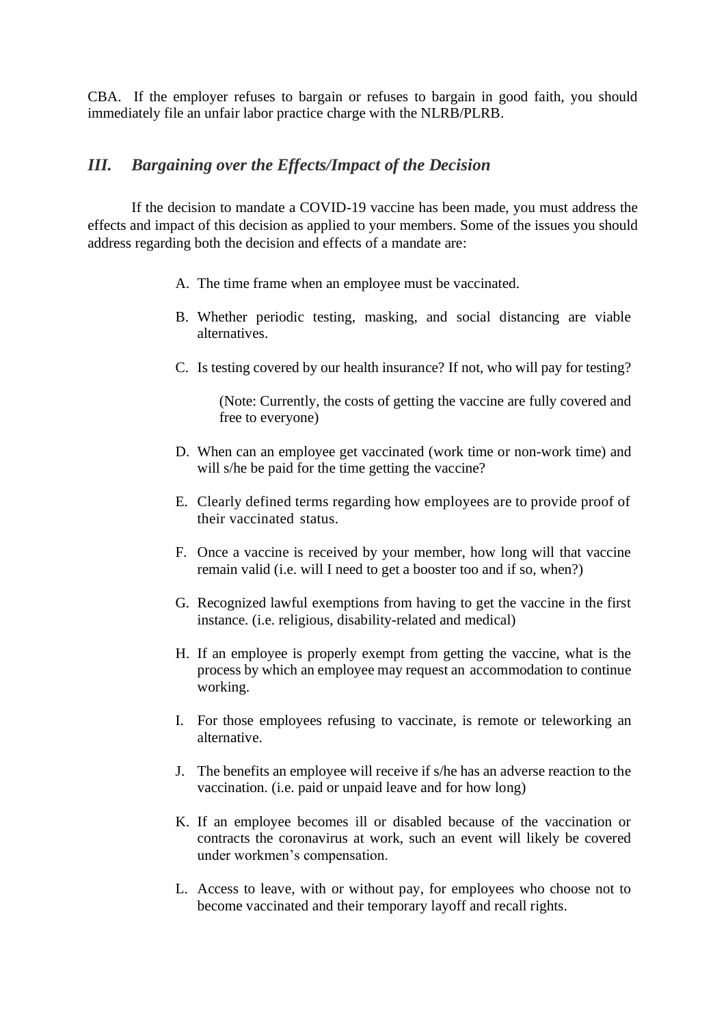CBA. If the employer refuses to bargain or refuses to bargain in good faith, you should immediately file an unfair labor practice charge with the NLRB/PLRB.

# *III. Bargaining over the Effects/Impact of the Decision*

If the decision to mandate a COVID-19 vaccine has been made, you must address the effects and impact of this decision as applied to your members. Some of the issues you should address regarding both the decision and effects of a mandate are:

- A. The time frame when an employee must be vaccinated.
- B. Whether periodic testing, masking, and social distancing are viable alternatives.
- C. Is testing covered by our health insurance? If not, who will pay for testing?

(Note: Currently, the costs of getting the vaccine are fully covered and free to everyone)

- D. When can an employee get vaccinated (work time or non-work time) and will s/he be paid for the time getting the vaccine?
- E. Clearly defined terms regarding how employees are to provide proof of their vaccinated status.
- F. Once a vaccine is received by your member, how long will that vaccine remain valid (i.e. will I need to get a booster too and if so, when?)
- G. Recognized lawful exemptions from having to get the vaccine in the first instance. (i.e. religious, disability-related and medical)
- H. If an employee is properly exempt from getting the vaccine, what is the process by which an employee may request an accommodation to continue working.
- I. For those employees refusing to vaccinate, is remote or teleworking an alternative.
- J. The benefits an employee will receive if s/he has an adverse reaction to the vaccination. (i.e. paid or unpaid leave and for how long)
- K. If an employee becomes ill or disabled because of the vaccination or contracts the coronavirus at work, such an event will likely be covered under workmen's compensation.
- L. Access to leave, with or without pay, for employees who choose not to become vaccinated and their temporary layoff and recall rights.